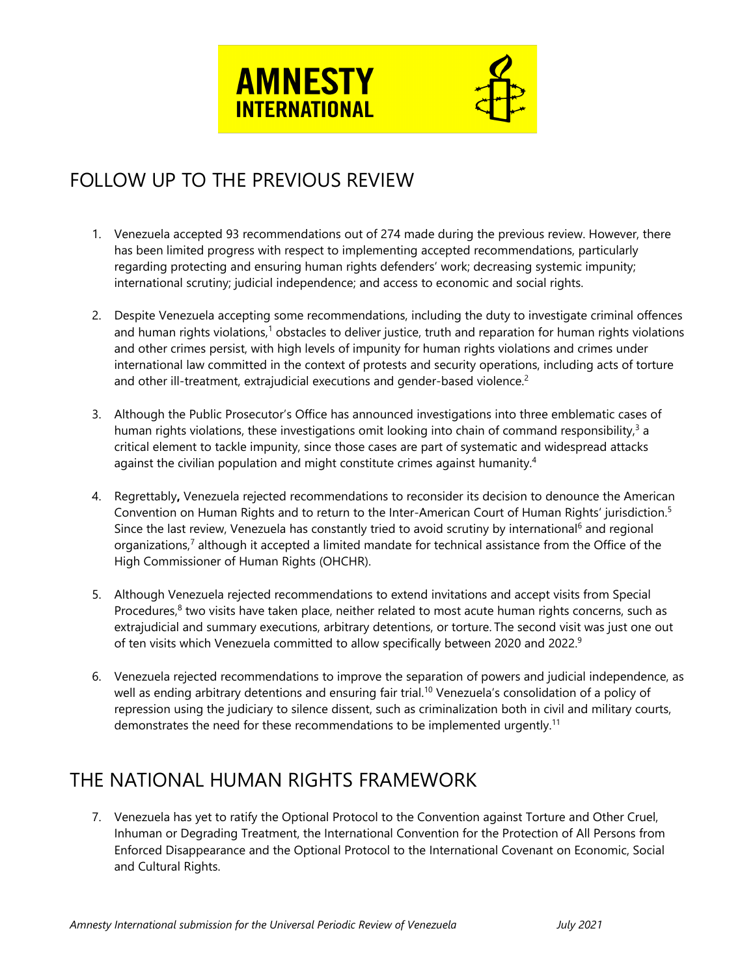



# FOLLOW UP TO THE PREVIOUS REVIEW

- 1. Venezuela accepted 93 recommendations out of 274 made during the previous review. However, there has been limited progress with respect to implementing accepted recommendations, particularly regarding protecting and ensuring human rights defenders' work; decreasing systemic impunity; international scrutiny; judicial independence; and access to economic and social rights.
- 2. Despite Venezuela accepting some recommendations, including the duty to investigate criminal offences and human rights violations,<sup>1</sup> obstacles to deliver justice, truth and reparation for human rights violations and other crimes persist, with high levels of impunity for human rights violations and crimes under international law committed in the context of protests and security operations, including acts of torture and other ill-treatment, extrajudicial executions and gender-based violence. $^2$
- 3. Although the Public Prosecutor'<sup>s</sup> Office has announced investigations into three emblematic cases of human rights violations, these investigations omit looking into chain of command responsibility, $^{\text{3}}$  a critical element to tackle impunity, since those cases are part of systematic and widespread attacks against the civilian population and might constitute crimes against humanity. 4
- 4. Regrettably**,** Venezuela rejected recommendations to reconsider its decision to denounce the American Convention on Human Rights and to return to the Inter-American Court of Human Rights' jurisdiction. 5 Since the last review, Venezuela has constantly tried to avoid scrutiny by international<sup>6</sup> and regional organizations,<sup>7</sup> although it accepted a limited mandate for technical assistance from the Office of the High Commissioner of Human Rights (OHCHR).
- 5. Although Venezuela rejected recommendations to extend invitations and accept visits from Special Procedures,<sup>8</sup> two visits have taken place, neither related to most acute human rights concerns, such as extrajudicial and summary executions, arbitrary detentions, or torture. The second visit was just one out of ten visits which Venezuela committed to allow specifically between 2020 and 2022. 9
- 6. Venezuela rejected recommendations to improve the separation of powers and judicial independence, as well as ending arbitrary detentions and ensuring fair trial. 10 Venezuela'<sup>s</sup> consolidation of <sup>a</sup> policy of repression using the judiciary to silence dissent, such as criminalization both in civil and military courts, demonstrates the need for these recommendations to be implemented urgently.<sup>11</sup>

# THE NATIONAL HUMAN RIGHTS FRAMEWORK

7. Venezuela has ye<sup>t</sup> to ratify the Optional Protocol to the Convention against Torture and Other Cruel, Inhuman or Degrading Treatment, the International Convention for the Protection of All Persons from Enforced Disappearance and the Optional Protocol to the International Covenant on Economic, Social and Cultural Rights.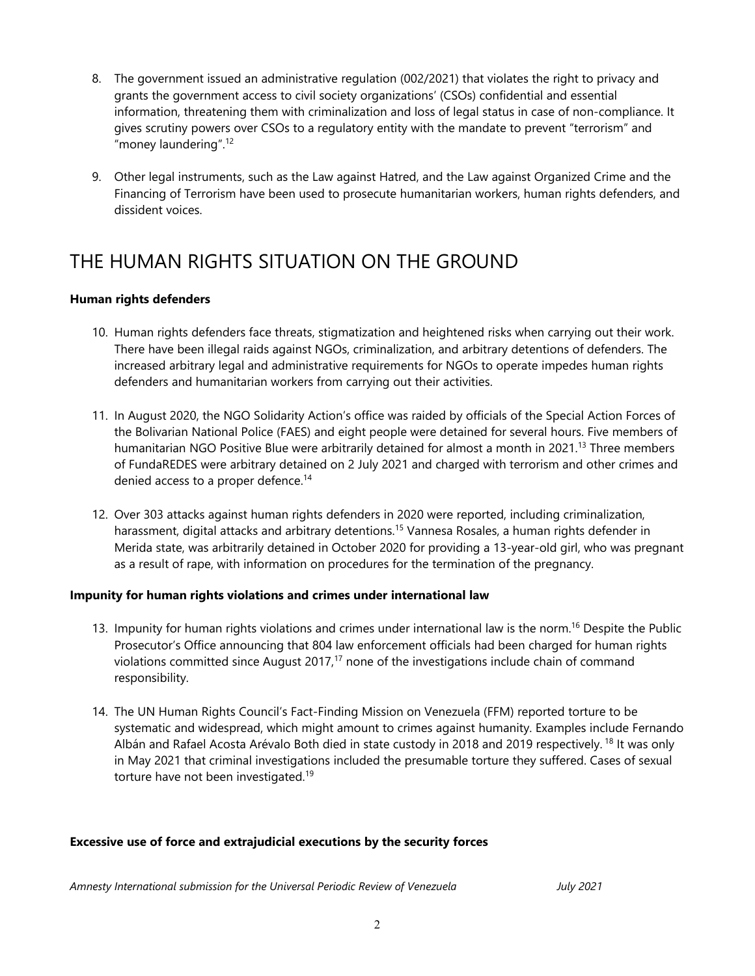- 8. The governmen<sup>t</sup> issued an administrative regulation (002/2021) that violates the right to privacy and grants the governmen<sup>t</sup> access to civil society organizations' (CSOs) confidential and essential information, threatening them with criminalization and loss of legal status in case of non-compliance. It gives scrutiny powers over CSOs to <sup>a</sup> regulatory entity with the mandate to prevent "terrorism" and "money laundering". 12
- 9. Other legal instruments, such as the Law against Hatred, and the Law against Organized Crime and the Financing of Terrorism have been used to prosecute humanitarian workers, human rights defenders, and dissident voices.

## THE HUMAN RIGHTS SITUATION ON THE GROUND

#### **Human rights defenders**

- 10. Human rights defenders face threats, stigmatization and heightened risks when carrying out their work. There have been illegal raids against NGOs, criminalization, and arbitrary detentions of defenders. The increased arbitrary legal and administrative requirements for NGOs to operate impedes human rights defenders and humanitarian workers from carrying out their activities.
- 11. In August 2020, the NGO Solidarity Action'<sup>s</sup> office was raided by officials of the Special Action Forces of the Bolivarian National Police (FAES) and eight people were detained for several hours. Five members of humanitarian NGO Positive Blue were arbitrarily detained for almost <sup>a</sup> month in 2021. 13 Three members of FundaREDES were arbitrary detained on 2 July 2021 and charged with terrorism and other crimes and denied access to <sup>a</sup> proper defence. 14
- 12. Over 303 attacks against human rights defenders in 2020 were reported, including criminalization, harassment, digital attacks and arbitrary detentions.<sup>15</sup> Vannesa Rosales, a human rights defender in Merida state, was arbitrarily detained in October 2020 for providing <sup>a</sup> 13-year-old girl, who was pregnan<sup>t</sup> as <sup>a</sup> result of rape, with information on procedures for the termination of the pregnancy.

#### **Impunity for human rights violations and crimes under international law**

- 13. Impunity for human rights violations and crimes under international law is the norm. 16 Despite the Public Prosecutor'<sup>s</sup> Office announcing that 804 law enforcement officials had been charged for human rights violations committed since August 2017,<sup>17</sup> none of the investigations include chain of command responsibility.
- 14. The UN Human Rights Council'<sup>s</sup> Fact-Finding Mission on Venezuela (FFM) reported torture to be systematic and widespread, which might amount to crimes against humanity. Examples include Fernando Albán and Rafael Acosta Arévalo Both died in state custody in 2018 and 2019 respectively. <sup>18</sup> It was only in May 2021 that criminal investigations included the presumable torture they suffered. Cases of sexual torture have not been investigated.<sup>19</sup>

#### **Excessive use of force and extrajudicial executions by the security forces**

*Amnesty International submission for the Universal Periodic Review of Venezuela July 2021*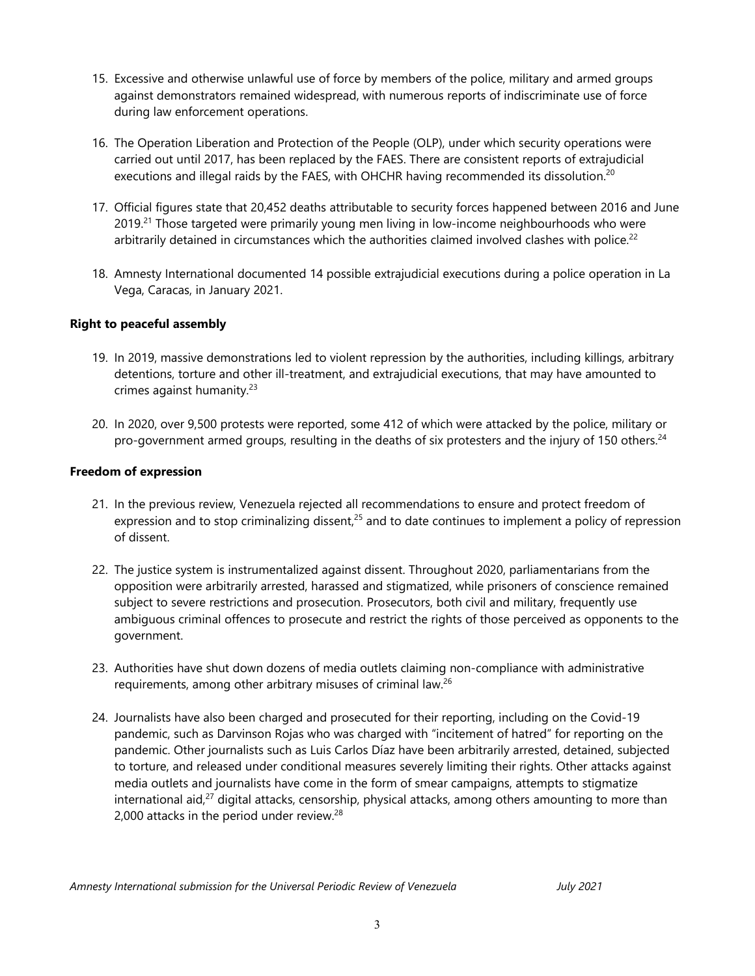- 15. Excessive and otherwise unlawful use of force by members of the police, military and armed groups against demonstrators remained widespread, with numerous reports of indiscriminate use of force during law enforcement operations.
- 16. The Operation Liberation and Protection of the People (OLP), under which security operations were carried out until 2017, has been replaced by the FAES. There are consistent reports of extrajudicial executions and illegal raids by the FAES, with OHCHR having recommended its dissolution. $^{20}$
- 17. Official figures state that 20,452 deaths attributable to security forces happened between 2016 and June 2019.<sup>21</sup> Those targeted were primarily young men living in low-income neighbourhoods who were arbitrarily detained in circumstances which the authorities claimed involved clashes with police.<sup>22</sup>
- 18. Amnesty International documented 14 possible extrajudicial executions during <sup>a</sup> police operation in La Vega, Caracas, in January 2021.

#### **Right to peaceful assembly**

- 19. In 2019, massive demonstrations led to violent repression by the authorities, including killings, arbitrary detentions, torture and other ill-treatment, and extrajudicial executions, that may have amounted to crimes against humanity.<sup>23</sup>
- 20. In 2020, over 9,500 protests were reported, some 412 of which were attacked by the police, military or pro-government armed groups, resulting in the deaths of six protesters and the injury of 150 others. $^{\rm 24}$

#### **Freedom of expression**

- 21. In the previous review, Venezuela rejected all recommendations to ensure and protect freedom of expression and to stop criminalizing dissent,<sup>25</sup> and to date continues to implement a policy of repression of dissent.
- 22. The justice system is instrumentalized against dissent. Throughout 2020, parliamentarians from the opposition were arbitrarily arrested, harassed and stigmatized, while prisoners of conscience remained subject to severe restrictions and prosecution. Prosecutors, both civil and military, frequently use ambiguous criminal offences to prosecute and restrict the rights of those perceived as opponents to the government.
- 23. Authorities have shut down dozens of media outlets claiming non-compliance with administrative requirements, among other arbitrary misuses of criminal law.<sup>26</sup>
- 24. Journalists have also been charged and prosecuted for their reporting, including on the Covid-19 pandemic, such as Darvinson Rojas who was charged with "incitement of hatred" for reporting on the pandemic. Other journalists such as Luis Carlos Díaz have been arbitrarily arrested, detained, subjected to torture, and released under conditional measures severely limiting their rights. Other attacks against media outlets and journalists have come in the form of smear campaigns, attempts to stigmatize international aid, $^{27}$  digital attacks, censorship, physical attacks, among others amounting to more than 2,000 attacks in the period under review. $^{28}$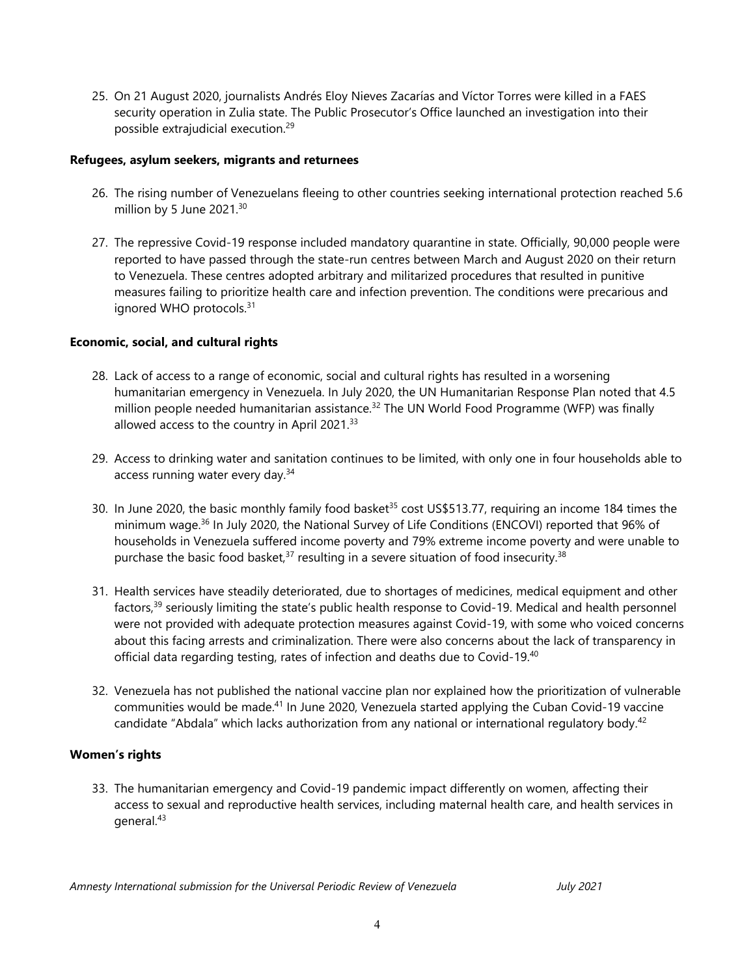25. On 21 August 2020, journalists Andrés Eloy Nieves Zacarías and Víctor Torres were killed in <sup>a</sup> FAES security operation in Zulia state. The Public Prosecutor'<sup>s</sup> Office launched an investigation into their possible extrajudicial execution. 29

#### **Refugees, asylum seekers, migrants and returnees**

- 26. The rising number of Venezuelans fleeing to other countries seeking international protection reached 5.6 million by 5 June 2021. 30
- 27. The repressive Covid-19 response included mandatory quarantine in state. Officially, 90,000 people were reported to have passed through the state-run centres between March and August 2020 on their return to Venezuela. These centres adopted arbitrary and militarized procedures that resulted in punitive measures failing to prioritize health care and infection prevention. The conditions were precarious and ignored WHO protocols.<sup>31</sup>

## **Economic, social, and cultural rights**

- 28. Lack of access to <sup>a</sup> range of economic, social and cultural rights has resulted in <sup>a</sup> worsening humanitarian emergency in Venezuela. In July 2020, the UN Humanitarian Response Plan noted that 4.5 million people needed humanitarian assistance.<sup>32</sup> The UN World Food Programme (WFP) was finally allowed access to the country in April 2021.<sup>33</sup>
- 29. Access to drinking water and sanitation continues to be limited, with only one in four households able to access running water every day.<sup>34</sup>
- 30. In June 2020, the basic monthly family food basket<sup>35</sup> cost US\$513.77, requiring an income 184 times the minimum wage.<sup>36</sup> In July 2020, the National Survey of Life Conditions (ENCOVI) reported that 96% of households in Venezuela suffered income poverty and 79% extreme income poverty and were unable to purchase the basic food basket,<sup>37</sup> resulting in a severe situation of food insecurity.<sup>38</sup>
- 31. Health services have steadily deteriorated, due to shortages of medicines, medical equipment and other factors,<sup>39</sup> seriously limiting the state's public health response to Covid-19. Medical and health personnel were not provided with adequate protection measures against Covid-19, with some who voiced concerns about this facing arrests and criminalization. There were also concerns about the lack of transparency in official data regarding testing, rates of infection and deaths due to Covid-19. 40
- 32. Venezuela has not published the national vaccine plan nor explained how the prioritization of vulnerable communities would be made.<sup>41</sup> In June 2020, Venezuela started applying the Cuban Covid-19 vaccine candidate "Abdala" which lacks authorization from any national or international regulatory body.<sup>42</sup>

#### **Women'<sup>s</sup> rights**

33. The humanitarian emergency and Covid-19 pandemic impact differently on women, affecting their access to sexual and reproductive health services, including maternal health care, and health services in general.<sup>43</sup>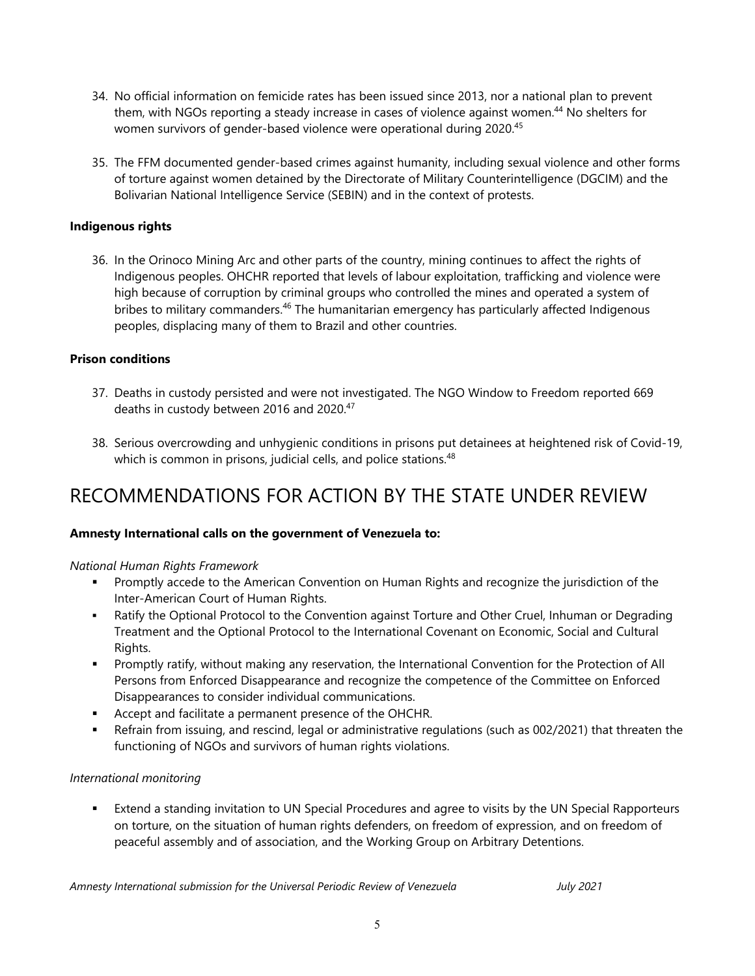- 34. No official information on femicide rates has been issued since 2013, nor <sup>a</sup> national plan to prevent them, with NGOs reporting <sup>a</sup> steady increase in cases of violence against women. 44 No shelters for women survivors of gender-based violence were operational during 2020. 45
- 35. The FFM documented gender-based crimes against humanity, including sexual violence and other forms of torture against women detained by the Directorate of Military Counterintelligence (DGCIM) and the Bolivarian National Intelligence Service (SEBIN) and in the context of protests.

#### **Indigenous rights**

36. In the Orinoco Mining Arc and other parts of the country, mining continues to affect the rights of Indigenous peoples. OHCHR reported that levels of labour exploitation, trafficking and violence were high because of corruption by criminal groups who controlled the mines and operated <sup>a</sup> system of bribes to military commanders.<sup>46</sup> The humanitarian emergency has particularly affected Indigenous peoples, displacing many of them to Brazil and other countries.

#### **Prison conditions**

- 37. Deaths in custody persisted and were not investigated. The NGO Window to Freedom reported 669 deaths in custody between 2016 and 2020. 47
- 38. Serious overcrowding and unhygienic conditions in prisons put detainees at heightened risk of Covid-19, which is common in prisons, judicial cells, and police stations. 48

# RECOMMENDATIONS FOR ACTION BY THE STATE UNDER REVIEW

#### **Amnesty International calls on the government of Venezuela to:**

#### *National Human Rights Framework*

- Promptly accede to the American Convention on Human Rights and recognize the jurisdiction of the Inter-American Court of Human Rights.
- Ratify the Optional Protocol to the Convention against Torture and Other Cruel, Inhuman or Degrading Treatment and the Optional Protocol to the International Covenant on Economic, Social and Cultural Rights.
- Promptly ratify, without making any reservation, the International Convention for the Protection of All Persons from Enforced Disappearance and recognize the competence of the Committee on Enforced Disappearances to consider individual communications.
- Accept and facilitate <sup>a</sup> permanent presence of the OHCHR.
- Refrain from issuing, and rescind, legal or administrative regulations (such as 002/2021) that threaten the functioning of NGOs and survivors of human rights violations.

#### *International monitoring*

 Extend <sup>a</sup> standing invitation to UN Special Procedures and agree to visits by the UN Special Rapporteurs on torture, on the situation of human rights defenders, on freedom of expression, and on freedom of peaceful assembly and of association, and the Working Group on Arbitrary Detentions.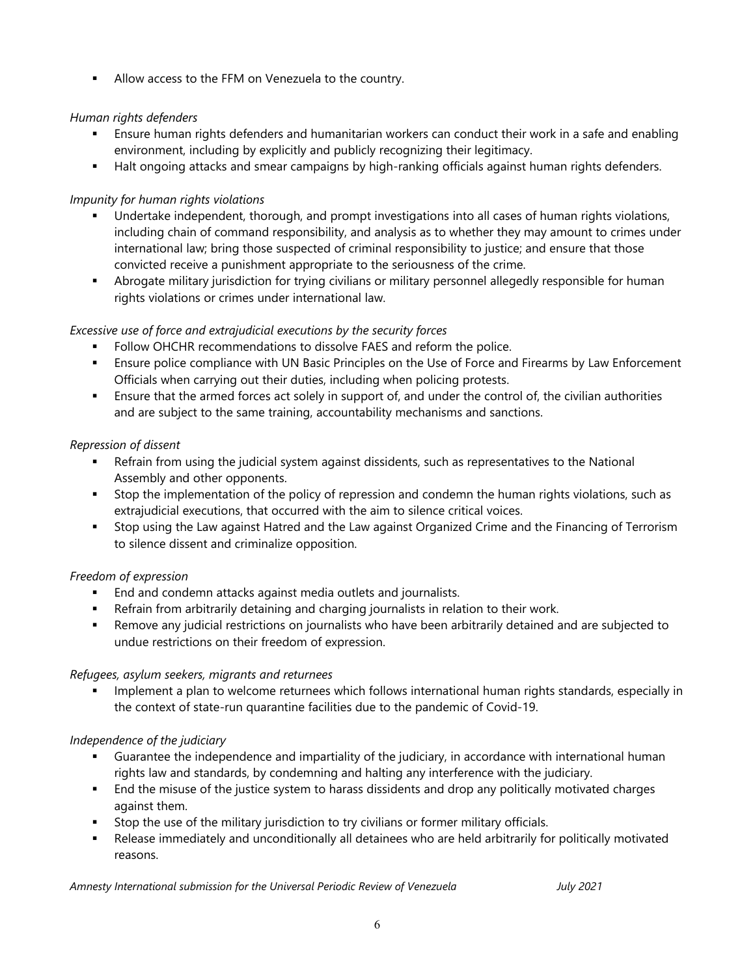Allow access to the FFM on Venezuela to the country.

## *Human rights defenders*

- Ensure human rights defenders and humanitarian workers can conduct their work in <sup>a</sup> safe and enabling environment, including by explicitly and publicly recognizing their legitimacy.
- Halt ongoing attacks and smear campaigns by high-ranking officials against human rights defenders.

## *Impunity for human rights violations*

- Undertake independent, thorough, and prompt investigations into all cases of human rights violations, including chain of command responsibility, and analysis as to whether they may amount to crimes under international law; bring those suspected of criminal responsibility to justice; and ensure that those convicted receive <sup>a</sup> punishment appropriate to the seriousness of the crime.
- Abrogate military jurisdiction for trying civilians or military personnel allegedly responsible for human rights violations or crimes under international law.

## *Excessive use of force and extrajudicial executions by the security forces*

- **Follow OHCHR recommendations to dissolve FAES and reform the police.**
- Ensure police compliance with UN Basic Principles on the Use of Force and Firearms by Law Enforcement Officials when carrying out their duties, including when policing protests.
- Ensure that the armed forces act solely in support of, and under the control of, the civilian authorities and are subject to the same training, accountability mechanisms and sanctions.

## *Repression of dissent*

- Refrain from using the judicial system against dissidents, such as representatives to the National Assembly and other opponents.
- Stop the implementation of the policy of repression and condemn the human rights violations, such as extrajudicial executions, that occurred with the aim to silence critical voices.
- Stop using the Law against Hatred and the Law against Organized Crime and the Financing of Terrorism to silence dissent and criminalize opposition.

## *Freedom of expression*

- **End and condemn attacks against media outlets and journalists.**
- Refrain from arbitrarily detaining and charging journalists in relation to their work.
- Remove any judicial restrictions on journalists who have been arbitrarily detained and are subjected to undue restrictions on their freedom of expression.

## *Refugees, asylum seekers, migrants and returnees*

n Implement <sup>a</sup> plan to welcome returnees which follows international human rights standards, especially in the context of state-run quarantine facilities due to the pandemic of Covid-19.

## *Independence of the judiciary*

- Guarantee the independence and impartiality of the judiciary, in accordance with international human rights law and standards, by condemning and halting any interference with the judiciary.
- End the misuse of the justice system to harass dissidents and drop any politically motivated charges against them.
- Stop the use of the military jurisdiction to try civilians or former military officials.
- $\mathbf{r}$  Release immediately and unconditionally all detainees who are held arbitrarily for politically motivated reasons.

*Amnesty International submission for the Universal Periodic Review of Venezuela July 2021*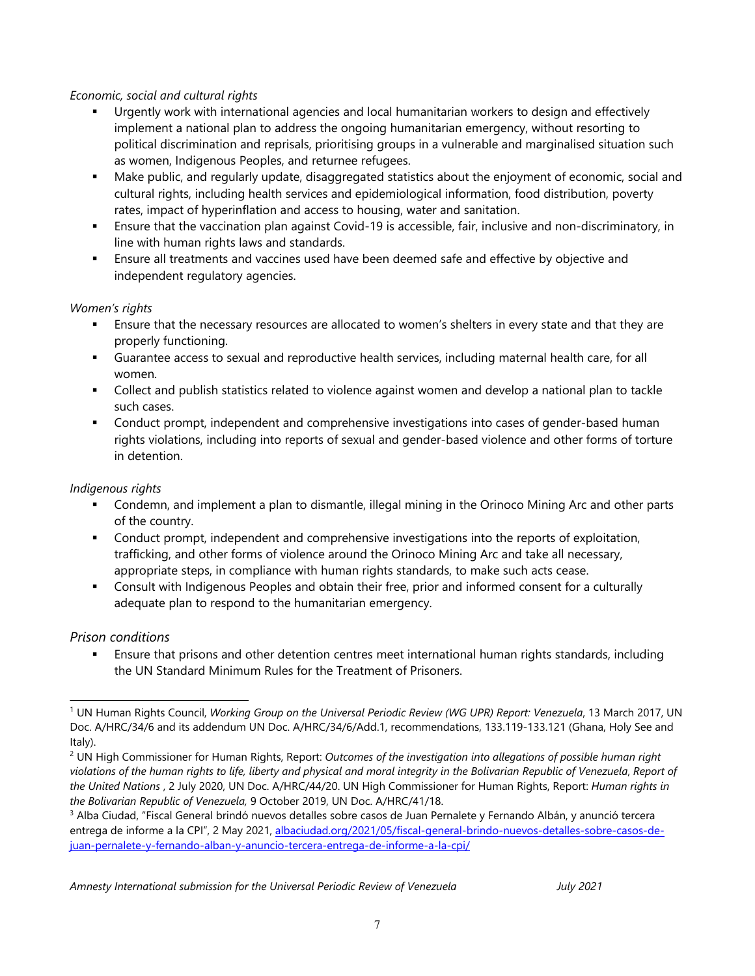#### *Economic, social and cultural rights*

- П Urgently work with international agencies and local humanitarian workers to design and effectively implement <sup>a</sup> national plan to address the ongoing humanitarian emergency, without resorting to political discrimination and reprisals, prioritising groups in <sup>a</sup> vulnerable and marginalised situation such as women, Indigenous Peoples, and returnee refugees.
- $\mathbf{r}$  . Make public, and regularly update, disaggregated statistics about the enjoyment of economic, social and cultural rights, including health services and epidemiological information, food distribution, poverty rates, impact of hyperinflation and access to housing, water and sanitation.
- Ensure that the vaccination plan against Covid-19 is accessible, fair, inclusive and non-discriminatory, in line with human rights laws and standards.
- П Ensure all treatments and vaccines used have been deemed safe and effective by objective and independent regulatory agencies.

#### *Women'<sup>s</sup> rights*

- Ensure that the necessary resources are allocated to women'<sup>s</sup> shelters in every state and that they are properly functioning.
- Guarantee access to sexual and reproductive health services, including maternal health care, for all women.
- Collect and publish statistics related to violence against women and develop <sup>a</sup> national plan to tackle such cases.
- Conduct prompt, independent and comprehensive investigations into cases of gender-based human rights violations, including into reports of sexual and gender-based violence and other forms of torture in detention.

#### *Indigenous rights*

- Condemn, and implement <sup>a</sup> plan to dismantle, illegal mining in the Orinoco Mining Arc and other parts of the country.
- Conduct prompt, independent and comprehensive investigations into the reports of exploitation, trafficking, and other forms of violence around the Orinoco Mining Arc and take all necessary, appropriate steps, in compliance with human rights standards, to make such acts cease.
- $\mathbf{r}$  Consult with Indigenous Peoples and obtain their free, prior and informed consent for <sup>a</sup> culturally adequate plan to respond to the humanitarian emergency.

## *Prison conditions*

 Ensure that prisons and other detention centres meet international human rights standards, including the UN Standard Minimum Rules for the Treatment of Prisoners.

<sup>1</sup> UN Human Rights Council, *Working Group on the Universal Periodic Review (WG UPR) Report: Venezuela*, 13 March 2017, UN Doc. A/HRC/34/6 and its addendum UN Doc. A/HRC/34/6/Add.1, recommendations, 133.119-133.121 (Ghana, Holy See and Italy).

<sup>2</sup> UN High Commissioner for Human Rights, Report: *Outcomes of the investigation into allegations of possible human right* violations of the human rights to life, liberty and physical and moral integrity in the Bolivarian Republic of Venezuela, Report of *the United Nations* , 2 July 2020, UN Doc. A/HRC/44/20. UN High Commissioner for Human Rights, Report: *Human rights in the Bolivarian Republic of Venezuela,* 9 October 2019, UN Doc. A/HRC/41/18.

<sup>3</sup> Alba Ciudad, "Fiscal General brindó nuevos detalles sobre casos de Juan Pernalete y Fernando Albán, y anunció tercera entrega de informe <sup>a</sup> la CPI", 2 May 2021, [albaciudad.org/2021/05/fiscal-general-brindo-nuevos-detalles-sobre-casos-de](http://www.albaciudad.org/2021/05/fiscal-general-brindo-nuevos-detalles-sobre-casos-de-juan-pernalete-y-fernando-alban-y-anuncio-tercera-entrega-de-informe-a-la-cpi/)[juan-pernalete-y-fernando-alban-y-anuncio-tercera-entrega-de-informe-a-la-cpi/](http://www.albaciudad.org/2021/05/fiscal-general-brindo-nuevos-detalles-sobre-casos-de-juan-pernalete-y-fernando-alban-y-anuncio-tercera-entrega-de-informe-a-la-cpi/)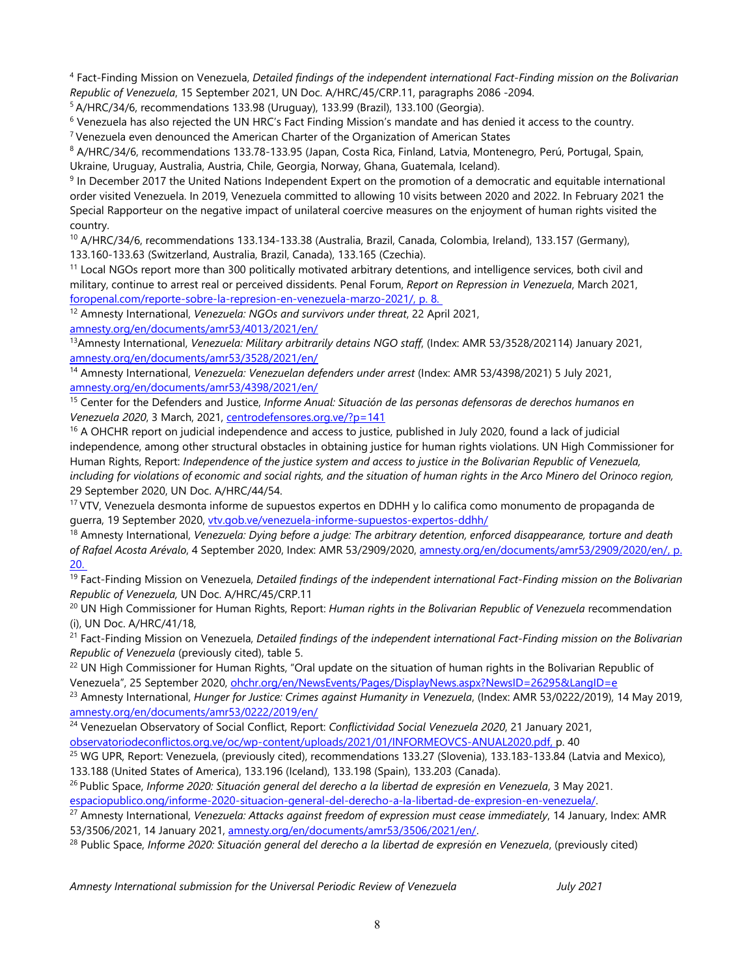4 Fact-Finding Mission on Venezuela, *Detailed findings of the independent international Fact-Finding mission on the Bolivarian Republic of Venezuela*, 15 September 2021, UN Doc. A/HRC/45/CRP.11, paragraphs 2086 -2094.

5 A/HRC/34/6, recommendations 133.98 (Uruguay), 133.99 (Brazil), 133.100 (Georgia).

6 Venezuela has also rejected the UN HRC'<sup>s</sup> Fact Finding Mission'<sup>s</sup> mandate and has denied it access to the country.

7 Venezuela even denounced the American Charter of the Organization of American States

8 A/HRC/34/6, recommendations 133.78-133.95 (Japan, Costa Rica, Finland, Latvia, Montenegro, Perú, Portugal, Spain, Ukraine, Uruguay, Australia, Austria, Chile, Georgia, Norway, Ghana, Guatemala, Iceland).

<sup>9</sup> In December 2017 the United Nations Independent Expert on the promotion of a democratic and equitable international order visited Venezuela. In 2019, Venezuela committed to allowing 10 visits between 2020 and 2022. In February 2021 the Special Rapporteur on the negative impact of unilateral coercive measures on the enjoyment of human rights visited the country.

<sup>10</sup> A/HRC/34/6, recommendations 133.134-133.38 (Australia, Brazil, Canada, Colombia, Ireland), 133.157 (Germany), 133.160-133.63 (Switzerland, Australia, Brazil, Canada), 133.165 (Czechia).

 $11$  Local NGOs report more than 300 politically motivated arbitrary detentions, and intelligence services, both civil and military, continue to arrest real or perceived dissidents. Penal Forum, *Report on Repression in Venezuela*, March 2021, foropenal.com/reporte-sobre-la-represion-en-venezuela-marzo-2021/, p. 8.

12 Amnesty International, *Venezuela: NGOs and survivors under threat*, 22 April 2021,

[amnesty.org/en/documents/amr53/4013/2021/en/](https://www.amnesty.org/en/documents/amr53/4013/2021/en/)

13 Amnesty International, *Venezuela: Military arbitrarily detains NGO staff*, (Index: AMR 53/3528/202114) January 2021, [amnesty.org/en/documents/amr53/3528/2021/en/](https://www.amnesty.org/en/documents/amr53/3528/2021/en/)

14 Amnesty International, *Venezuela: Venezuelan defenders under arrest* (Index: AMR 53/4398/2021) 5 July 2021, [amnesty.org/en/documents/amr53/4398/2021/en/](https://www.amnesty.org/en/documents/amr53/4398/2021/en/)

15 Center for the Defenders and Justice, *Informe Anual: Situación de las personas defensoras de derechos humanos en Venezuela 2020*, 3 March, 2021, centrodefensores.org.ve/?p=141

<sup>16</sup> A OHCHR report on judicial independence and access to justice, published in July 2020, found a lack of judicial independence, among other structural obstacles in obtaining justice for human rights violations. UN High Commissioner for Human Rights, Report: Independence of the justice system and access to justice in the Bolivarian Republic of Venezuela, including for violations of economic and social rights, and the situation of human rights in the Arco Minero del Orinoco region, 29 September 2020, UN Doc. A/HRC/44/54.

<sup>17</sup> VTV, Venezuela desmonta informe de supuestos expertos en DDHH y lo califica como monumento de propaganda de guerra, 19 September 2020, [vtv.gob.ve/venezuela-informe-supuestos-expertos-ddhh/](https://www.vtv.gob.ve/venezuela-informe-supuestos-expertos-ddhh/)

18 Amnesty International, *Venezuela: Dying before <sup>a</sup> judge: The arbitrary detention, enforced disappearance, torture and death of Rafael Acosta Arévalo*, 4 September 2020, Index: AMR 53/2909/2020, [amnesty.org/en/documents/amr53/2909/2020/en/,](https://www.amnesty.org/en/documents/amr53/2909/2020/en/) p. 20.

19 Fact-Finding Mission on Venezuela, *Detailed findings of the independent international Fact-Finding mission on the Bolivarian Republic of Venezuela,* UN Doc. A/HRC/45/CRP.11

20 UN High Commissioner for Human Rights, Report: *Human rights in the Bolivarian Republic of Venezuela* recommendation (i), UN Doc. A/HRC/41/18,

21 Fact-Finding Mission on Venezuela, *Detailed findings of the independent international Fact-Finding mission on the Bolivarian Republic of Venezuela* (previously cited), table 5.

 $^{22}$  UN High Commissioner for Human Rights, "Oral update on the situation of human rights in the Bolivarian Republic of Venezuela", 25 September 2020, [ohchr.org/en/NewsEvents/Pages/DisplayNews.aspx?NewsID=26295&LangID=e](https://www.ohchr.org/en/NewsEvents/Pages/DisplayNews.aspx?NewsID=26295&LangID=e)

23 Amnesty International, *Hunger for Justice: Crimes against Humanity in Venezuela*, (Index: AMR 53/0222/2019), 14 May 2019, [amnesty.org/en/documents/amr53/0222/2019/en/](http://www.amnesty.org/en/documents/amr53/0222/2019/en/)

24 Venezuelan Observatory of Social Conflict, Report: *Conflictividad Social Venezuela 2020*, 21 January 2021, [observatoriodeconflictos.org.ve/oc/wp-content/uploads/2021/01/INFORMEOVCS-ANUAL2020.pdf](http://www.observatoriodeconflictos.org.ve/oc/wp-content/uploads/2021/01/INFORMEOVCS-ANUAL2020.pdf), p. 40

<sup>25</sup> WG UPR, Report: Venezuela, (previously cited), recommendations 133.27 (Slovenia), 133.183-133.84 (Latvia and Mexico), 133.188 (United States of America), 133.196 (Iceland), 133.198 (Spain), 133.203 (Canada).

26 Public Space, *Informe 2020: Situación general del derecho <sup>a</sup> la libertad de expresión en Venezuela*, 3 May 2021. espaciopublico.ong/informe-2020-situacion-general-del-derecho-a-la-libertad-de-expresion-en-venezuela/.

27 Amnesty International, *Venezuela: Attacks against freedom of expression must cease immediately*, 14 January, Index: AMR 53/3506/2021, 14 January 2021, [amnesty.org/en/documents/amr53/3506/2021/en/](https://www.amnesty.org/en/documents/amr53/3506/2021/en/).

<sup>28</sup> Public Space, Informe 2020: Situación general del derecho a la libertad de expresión en Venezuela, (previously cited)

*Amnesty International submission for the Universal Periodic Review of Venezuela July 2021*